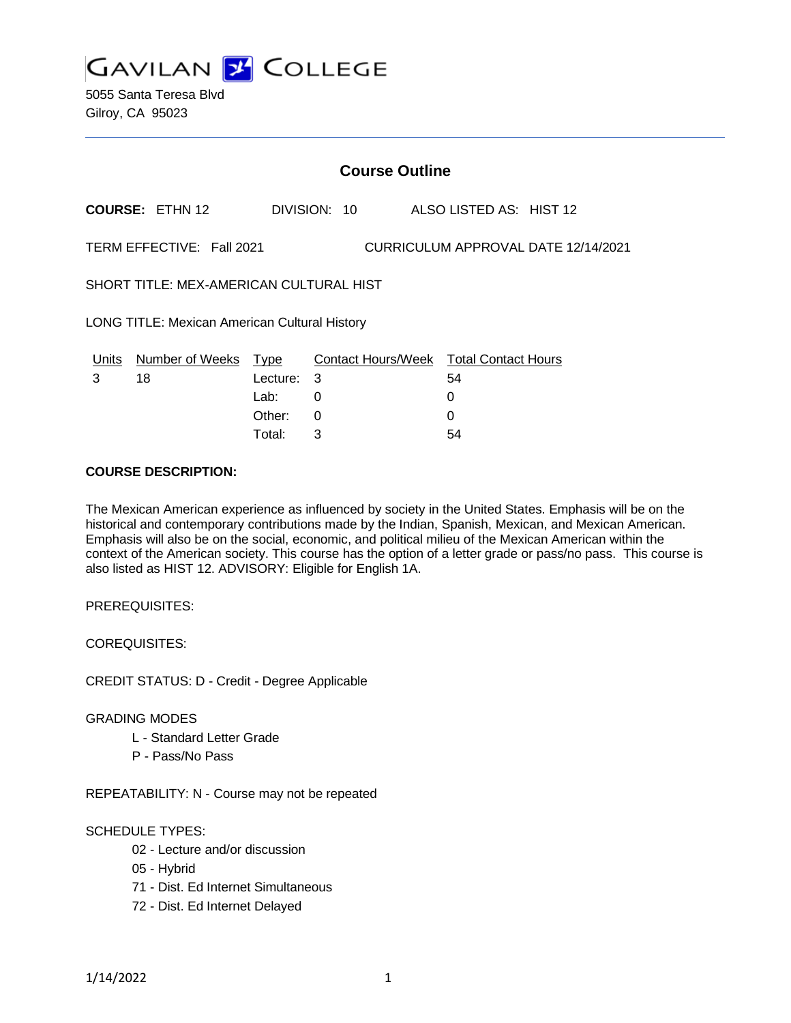**GAVILAN 2 COLLEGE** 

5055 Santa Teresa Blvd Gilroy, CA 95023

| <b>Course Outline</b>                                            |                            |          |              |  |                                        |
|------------------------------------------------------------------|----------------------------|----------|--------------|--|----------------------------------------|
|                                                                  | <b>COURSE: ETHN 12</b>     |          | DIVISION: 10 |  | ALSO LISTED AS: HIST 12                |
| TERM EFFECTIVE: Fall 2021<br>CURRICULUM APPROVAL DATE 12/14/2021 |                            |          |              |  |                                        |
| SHORT TITLE: MEX-AMERICAN CULTURAL HIST                          |                            |          |              |  |                                        |
| <b>LONG TITLE: Mexican American Cultural History</b>             |                            |          |              |  |                                        |
|                                                                  | Units Number of Weeks Type |          |              |  | Contact Hours/Week Total Contact Hours |
| 3                                                                | 18                         | Lecture: | 3            |  | 54                                     |
|                                                                  |                            | Lab:     | 0            |  | 0                                      |
|                                                                  |                            | Other:   | 0            |  | 0                                      |
|                                                                  |                            | Total:   | 3            |  | 54                                     |

### **COURSE DESCRIPTION:**

The Mexican American experience as influenced by society in the United States. Emphasis will be on the historical and contemporary contributions made by the Indian, Spanish, Mexican, and Mexican American. Emphasis will also be on the social, economic, and political milieu of the Mexican American within the context of the American society. This course has the option of a letter grade or pass/no pass. This course is also listed as HIST 12. ADVISORY: Eligible for English 1A.

PREREQUISITES:

COREQUISITES:

CREDIT STATUS: D - Credit - Degree Applicable

#### GRADING MODES

- L Standard Letter Grade
- P Pass/No Pass

REPEATABILITY: N - Course may not be repeated

# SCHEDULE TYPES:

- 02 Lecture and/or discussion
- 05 Hybrid
- 71 Dist. Ed Internet Simultaneous
- 72 Dist. Ed Internet Delayed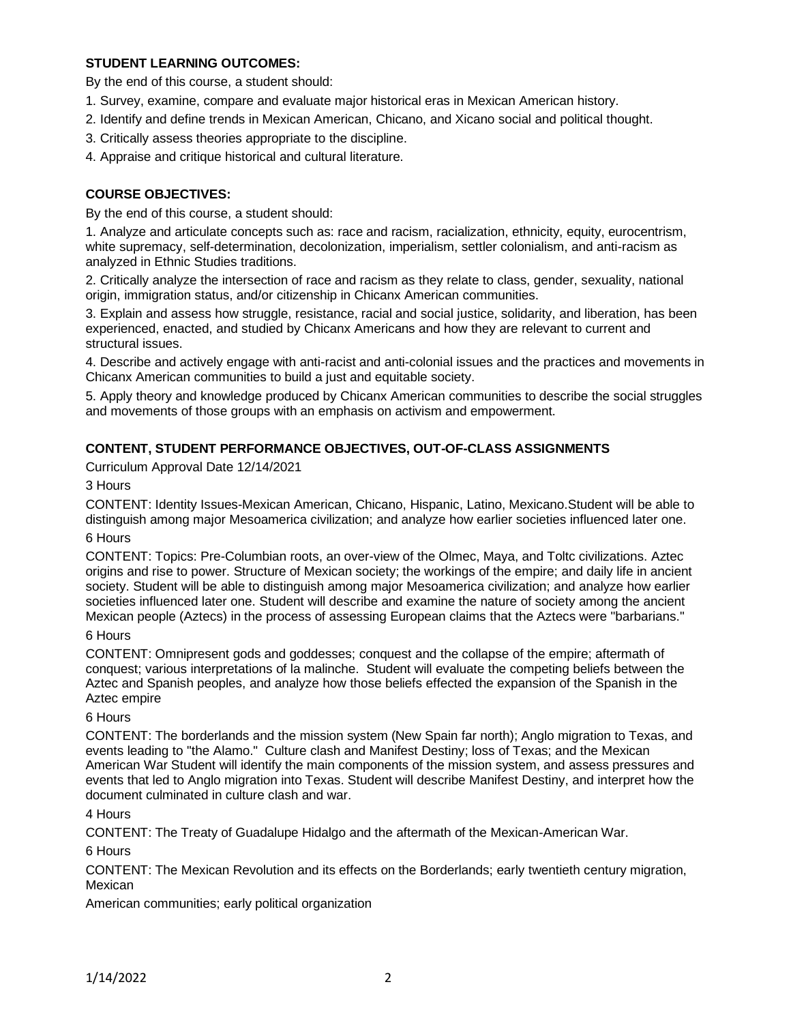# **STUDENT LEARNING OUTCOMES:**

By the end of this course, a student should:

- 1. Survey, examine, compare and evaluate major historical eras in Mexican American history.
- 2. Identify and define trends in Mexican American, Chicano, and Xicano social and political thought.
- 3. Critically assess theories appropriate to the discipline.
- 4. Appraise and critique historical and cultural literature.

# **COURSE OBJECTIVES:**

By the end of this course, a student should:

1. Analyze and articulate concepts such as: race and racism, racialization, ethnicity, equity, eurocentrism, white supremacy, self-determination, decolonization, imperialism, settler colonialism, and anti-racism as analyzed in Ethnic Studies traditions.

2. Critically analyze the intersection of race and racism as they relate to class, gender, sexuality, national origin, immigration status, and/or citizenship in Chicanx American communities.

3. Explain and assess how struggle, resistance, racial and social justice, solidarity, and liberation, has been experienced, enacted, and studied by Chicanx Americans and how they are relevant to current and structural issues.

4. Describe and actively engage with anti-racist and anti-colonial issues and the practices and movements in Chicanx American communities to build a just and equitable society.

5. Apply theory and knowledge produced by Chicanx American communities to describe the social struggles and movements of those groups with an emphasis on activism and empowerment.

# **CONTENT, STUDENT PERFORMANCE OBJECTIVES, OUT-OF-CLASS ASSIGNMENTS**

Curriculum Approval Date 12/14/2021

3 Hours

CONTENT: Identity Issues-Mexican American, Chicano, Hispanic, Latino, Mexicano.Student will be able to distinguish among major Mesoamerica civilization; and analyze how earlier societies influenced later one.

6 Hours

CONTENT: Topics: Pre-Columbian roots, an over-view of the Olmec, Maya, and Toltc civilizations. Aztec origins and rise to power. Structure of Mexican society; the workings of the empire; and daily life in ancient society. Student will be able to distinguish among major Mesoamerica civilization; and analyze how earlier societies influenced later one. Student will describe and examine the nature of society among the ancient Mexican people (Aztecs) in the process of assessing European claims that the Aztecs were "barbarians."

# 6 Hours

CONTENT: Omnipresent gods and goddesses; conquest and the collapse of the empire; aftermath of conquest; various interpretations of la malinche. Student will evaluate the competing beliefs between the Aztec and Spanish peoples, and analyze how those beliefs effected the expansion of the Spanish in the Aztec empire

#### 6 Hours

CONTENT: The borderlands and the mission system (New Spain far north); Anglo migration to Texas, and events leading to "the Alamo." Culture clash and Manifest Destiny; loss of Texas; and the Mexican American War Student will identify the main components of the mission system, and assess pressures and events that led to Anglo migration into Texas. Student will describe Manifest Destiny, and interpret how the document culminated in culture clash and war.

#### 4 Hours

CONTENT: The Treaty of Guadalupe Hidalgo and the aftermath of the Mexican-American War.

# 6 Hours

CONTENT: The Mexican Revolution and its effects on the Borderlands; early twentieth century migration, Mexican

American communities; early political organization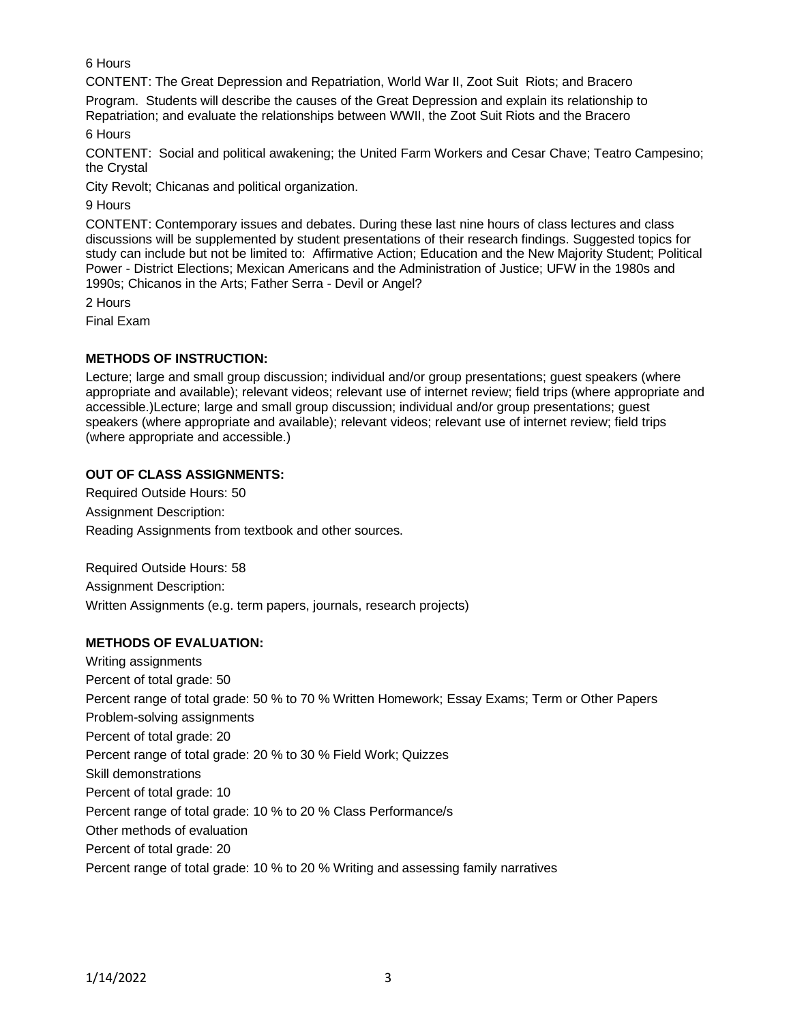6 Hours

CONTENT: The Great Depression and Repatriation, World War II, Zoot Suit Riots; and Bracero

Program. Students will describe the causes of the Great Depression and explain its relationship to Repatriation; and evaluate the relationships between WWII, the Zoot Suit Riots and the Bracero

6 Hours

CONTENT: Social and political awakening; the United Farm Workers and Cesar Chave; Teatro Campesino; the Crystal

City Revolt; Chicanas and political organization.

9 Hours

CONTENT: Contemporary issues and debates. During these last nine hours of class lectures and class discussions will be supplemented by student presentations of their research findings. Suggested topics for study can include but not be limited to: Affirmative Action; Education and the New Majority Student; Political Power - District Elections; Mexican Americans and the Administration of Justice; UFW in the 1980s and 1990s; Chicanos in the Arts; Father Serra - Devil or Angel?

2 Hours

Final Exam

# **METHODS OF INSTRUCTION:**

Lecture; large and small group discussion; individual and/or group presentations; guest speakers (where appropriate and available); relevant videos; relevant use of internet review; field trips (where appropriate and accessible.)Lecture; large and small group discussion; individual and/or group presentations; guest speakers (where appropriate and available); relevant videos; relevant use of internet review; field trips (where appropriate and accessible.)

# **OUT OF CLASS ASSIGNMENTS:**

Required Outside Hours: 50 Assignment Description: Reading Assignments from textbook and other sources.

Required Outside Hours: 58 Assignment Description: Written Assignments (e.g. term papers, journals, research projects)

# **METHODS OF EVALUATION:**

Writing assignments Percent of total grade: 50 Percent range of total grade: 50 % to 70 % Written Homework; Essay Exams; Term or Other Papers Problem-solving assignments Percent of total grade: 20 Percent range of total grade: 20 % to 30 % Field Work; Quizzes Skill demonstrations Percent of total grade: 10 Percent range of total grade: 10 % to 20 % Class Performance/s Other methods of evaluation Percent of total grade: 20 Percent range of total grade: 10 % to 20 % Writing and assessing family narratives